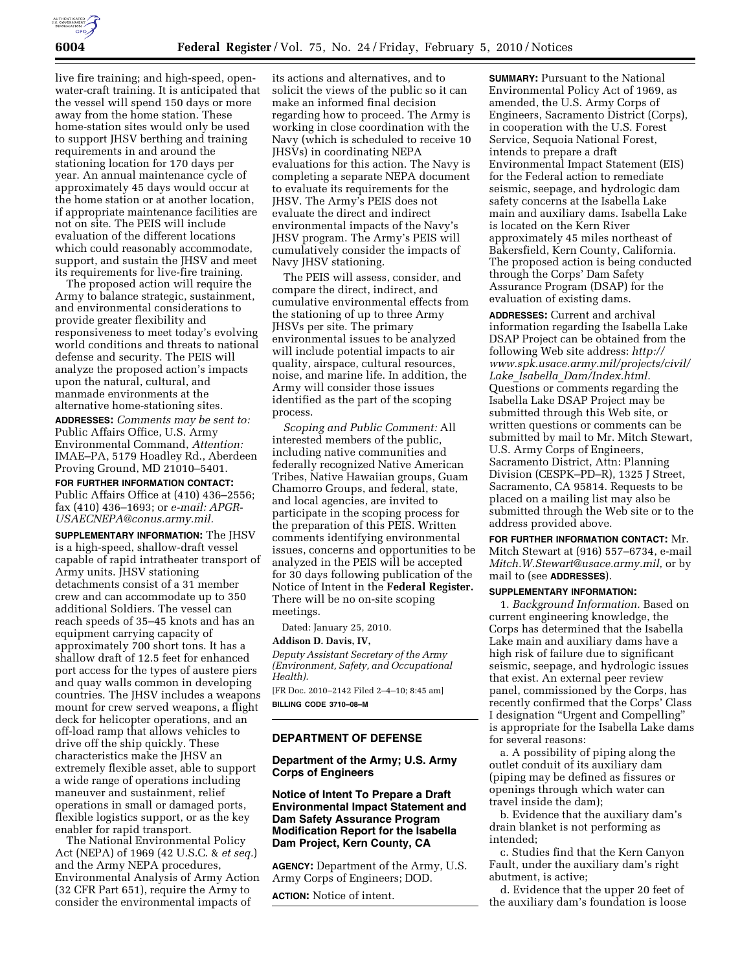

live fire training; and high-speed, openwater-craft training. It is anticipated that the vessel will spend 150 days or more away from the home station. These home-station sites would only be used to support JHSV berthing and training requirements in and around the stationing location for 170 days per year. An annual maintenance cycle of approximately 45 days would occur at the home station or at another location, if appropriate maintenance facilities are not on site. The PEIS will include evaluation of the different locations which could reasonably accommodate, support, and sustain the JHSV and meet its requirements for live-fire training.

The proposed action will require the Army to balance strategic, sustainment, and environmental considerations to provide greater flexibility and responsiveness to meet today's evolving world conditions and threats to national defense and security. The PEIS will analyze the proposed action's impacts upon the natural, cultural, and manmade environments at the alternative home-stationing sites. **ADDRESSES:** *Comments may be sent to:* 

Public Affairs Office, U.S. Army Environmental Command, *Attention:*  IMAE–PA, 5179 Hoadley Rd., Aberdeen Proving Ground, MD 21010–5401.

**FOR FURTHER INFORMATION CONTACT:**  Public Affairs Office at (410) 436–2556; fax (410) 436–1693; or *e-mail: APGR-USAECNEPA@conus.army.mil.* 

**SUPPLEMENTARY INFORMATION:** The JHSV is a high-speed, shallow-draft vessel capable of rapid intratheater transport of Army units. JHSV stationing detachments consist of a 31 member crew and can accommodate up to 350 additional Soldiers. The vessel can reach speeds of 35–45 knots and has an equipment carrying capacity of approximately 700 short tons. It has a shallow draft of 12.5 feet for enhanced port access for the types of austere piers and quay walls common in developing countries. The JHSV includes a weapons mount for crew served weapons, a flight deck for helicopter operations, and an off-load ramp that allows vehicles to drive off the ship quickly. These characteristics make the JHSV an extremely flexible asset, able to support a wide range of operations including maneuver and sustainment, relief operations in small or damaged ports, flexible logistics support, or as the key enabler for rapid transport.

The National Environmental Policy Act (NEPA) of 1969 (42 U.S.C. & *et seq.*) and the Army NEPA procedures, Environmental Analysis of Army Action (32 CFR Part 651), require the Army to consider the environmental impacts of

its actions and alternatives, and to solicit the views of the public so it can make an informed final decision regarding how to proceed. The Army is working in close coordination with the Navy (which is scheduled to receive 10 JHSVs) in coordinating NEPA evaluations for this action. The Navy is completing a separate NEPA document to evaluate its requirements for the JHSV. The Army's PEIS does not evaluate the direct and indirect environmental impacts of the Navy's JHSV program. The Army's PEIS will cumulatively consider the impacts of Navy JHSV stationing.

The PEIS will assess, consider, and compare the direct, indirect, and cumulative environmental effects from the stationing of up to three Army JHSVs per site. The primary environmental issues to be analyzed will include potential impacts to air quality, airspace, cultural resources, noise, and marine life. In addition, the Army will consider those issues identified as the part of the scoping process.

*Scoping and Public Comment:* All interested members of the public, including native communities and federally recognized Native American Tribes, Native Hawaiian groups, Guam Chamorro Groups, and federal, state, and local agencies, are invited to participate in the scoping process for the preparation of this PEIS. Written comments identifying environmental issues, concerns and opportunities to be analyzed in the PEIS will be accepted for 30 days following publication of the Notice of Intent in the **Federal Register.**  There will be no on-site scoping meetings.

Dated: January 25, 2010.

#### **Addison D. Davis, IV,**

*Deputy Assistant Secretary of the Army (Environment, Safety, and Occupational Health).* 

[FR Doc. 2010–2142 Filed 2–4–10; 8:45 am] **BILLING CODE 3710–08–M** 

## **DEPARTMENT OF DEFENSE**

# **Department of the Army; U.S. Army Corps of Engineers**

**Notice of Intent To Prepare a Draft Environmental Impact Statement and Dam Safety Assurance Program Modification Report for the Isabella Dam Project, Kern County, CA** 

**AGENCY:** Department of the Army, U.S. Army Corps of Engineers; DOD.

**ACTION:** Notice of intent.

**SUMMARY: Pursuant to the National** Environmental Policy Act of 1969, as amended, the U.S. Army Corps of Engineers, Sacramento District (Corps), in cooperation with the U.S. Forest Service, Sequoia National Forest, intends to prepare a draft Environmental Impact Statement (EIS) for the Federal action to remediate seismic, seepage, and hydrologic dam safety concerns at the Isabella Lake main and auxiliary dams. Isabella Lake is located on the Kern River approximately 45 miles northeast of Bakersfield, Kern County, California. The proposed action is being conducted through the Corps' Dam Safety Assurance Program (DSAP) for the evaluation of existing dams.

**ADDRESSES:** Current and archival information regarding the Isabella Lake DSAP Project can be obtained from the following Web site address: *http:// www.spk.usace.army.mil/projects/civil/ Lake*\_*Isabella*\_*Dam/Index.html.*  Questions or comments regarding the Isabella Lake DSAP Project may be submitted through this Web site, or written questions or comments can be submitted by mail to Mr. Mitch Stewart, U.S. Army Corps of Engineers, Sacramento District, Attn: Planning Division (CESPK–PD–R), 1325 J Street, Sacramento, CA 95814. Requests to be placed on a mailing list may also be submitted through the Web site or to the address provided above.

# **FOR FURTHER INFORMATION CONTACT:** Mr. Mitch Stewart at (916) 557–6734, e-mail

*Mitch.W.Stewart@usace.army.mil,* or by mail to (see **ADDRESSES**).

#### **SUPPLEMENTARY INFORMATION:**

1. *Background Information.* Based on current engineering knowledge, the Corps has determined that the Isabella Lake main and auxiliary dams have a high risk of failure due to significant seismic, seepage, and hydrologic issues that exist. An external peer review panel, commissioned by the Corps, has recently confirmed that the Corps' Class I designation ''Urgent and Compelling'' is appropriate for the Isabella Lake dams for several reasons:

a. A possibility of piping along the outlet conduit of its auxiliary dam (piping may be defined as fissures or openings through which water can travel inside the dam);

b. Evidence that the auxiliary dam's drain blanket is not performing as intended;

c. Studies find that the Kern Canyon Fault, under the auxiliary dam's right abutment, is active;

d. Evidence that the upper 20 feet of the auxiliary dam's foundation is loose